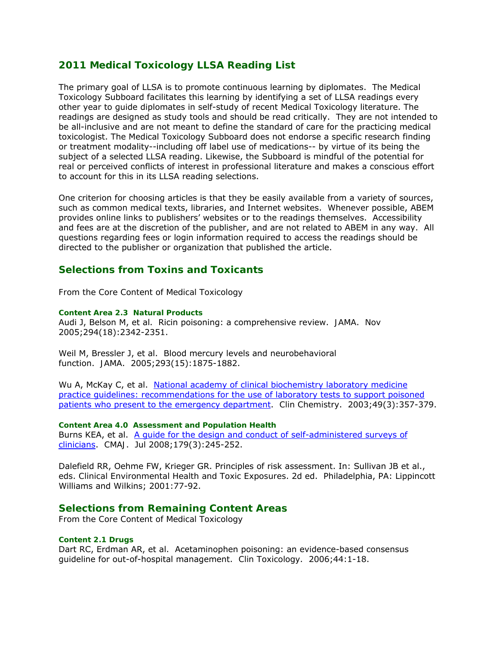# **2011 Medical Toxicology LLSA Reading List**

The primary goal of LLSA is to promote continuous learning by diplomates. The Medical Toxicology Subboard facilitates this learning by identifying a set of LLSA readings every other year to guide diplomates in self-study of recent Medical Toxicology literature. The readings are designed as study tools and should be read critically. They are not intended to be all-inclusive and are not meant to define the standard of care for the practicing medical toxicologist. The Medical Toxicology Subboard does not endorse a specific research finding or treatment modality--including off label use of medications-- by virtue of its being the subject of a selected LLSA reading. Likewise, the Subboard is mindful of the potential for real or perceived conflicts of interest in professional literature and makes a conscious effort to account for this in its LLSA reading selections.

One criterion for choosing articles is that they be easily available from a variety of sources, such as common medical texts, libraries, and Internet websites. Whenever possible, ABEM provides online links to publishers' websites or to the readings themselves. Accessibility and fees are at the discretion of the publisher, and are not related to ABEM in any way. All questions regarding fees or login information required to access the readings should be directed to the publisher or organization that published the article.

# **Selections from Toxins and Toxicants**

*From the Core Content of Medical Toxicology*

#### *Content Area 2.3 Natural Products*

Audi J, Belson M, et al. Ricin poisoning: a comprehensive review. *JAMA*. Nov 2005;294(18):2342-2351.

Weil M, Bressler J, et al. Blood mercury levels and neurobehavioral function. *JAMA*. 2005;293(15):1875-1882.

Wu A, McKay C, et al. National academy of clinical biochemistry laboratory medicine practice guidelines: recommendations for the use of laboratory tests to support poisoned patients who present to the emergency department. *Clin Chemistry*. 2003;49(3):357-379.

*Content Area 4.0 Assessment and Population Health* Burns KEA, et al. A quide for the design and conduct of self-administered surveys of clinicians. *CMAJ*. Jul 2008;179(3):245-252.

Dalefield RR, Oehme FW, Krieger GR. Principles of risk assessment. In: Sullivan JB et al., eds. *Clinical Environmental Health and Toxic Exposures*. 2d ed. Philadelphia, PA: Lippincott Williams and Wilkins; 2001:77-92.

## **Selections from Remaining Content Areas**

*From the Core Content of Medical Toxicology*

### *Content 2.1 Drugs*

Dart RC, Erdman AR, et al. Acetaminophen poisoning: an evidence-based consensus guideline for out-of-hospital management. *Clin Toxicology*. 2006;44:1-18.